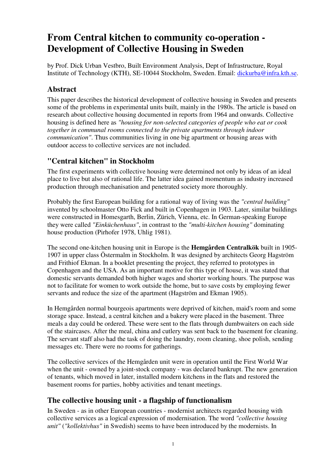# **From Central kitchen to community co-operation - Development of Collective Housing in Sweden**

by Prof. Dick Urban Vestbro, Built Environment Analysis, Dept of Infrastructure, Royal Institute of Technology (KTH), SE-10044 Stockholm, Sweden. Email: dickurba@infra.kth.se.

## **Abstract**

This paper describes the historical development of collective housing in Sweden and presents some of the problems in experimental units built, mainly in the 1980s. The article is based on research about collective housing documented in reports from 1964 and onwards. Collective housing is defined here as *"housing for non-selected categories of people who eat or cook together in communal rooms connected to the private apartments through indoor communication"*. Thus communities living in one big apartment or housing areas with outdoor access to collective services are not included.

# **"Central kitchen" in Stockholm**

The first experiments with collective housing were determined not only by ideas of an ideal place to live but also of rational life. The latter idea gained momentum as industry increased production through mechanisation and penetrated society more thoroughly.

Probably the first European building for a rational way of living was the *"central building"* invented by schoolmaster Otto Fick and built in Copenhagen in 1903. Later, similar buildings were constructed in Homesgarth, Berlin, Zürich, Vienna, etc. In German-speaking Europe they were called *"Einküchenhaus"*, in contrast to the *"multi-kitchen housing"* dominating house production (Pirhofer 1978, Uhlig 1981).

The second one-kitchen housing unit in Europe is the **Hemgården Centralkök** built in 1905- 1907 in upper class Östermalm in Stockholm. It was designed by architects Georg Hagström and Frithiof Ekman. In a booklet presenting the project, they referred to prototypes in Copenhagen and the USA. As an important motive for this type of house, it was stated that domestic servants demanded both higher wages and shorter working hours. The purpose was not to facilitate for women to work outside the home, but to save costs by employing fewer servants and reduce the size of the apartment (Hagström and Ekman 1905).

In Hemgården normal bourgeois apartments were deprived of kitchen, maid's room and some storage space. Instead, a central kitchen and a bakery were placed in the basement. Three meals a day could be ordered. These were sent to the flats through dumbwaiters on each side of the staircases. After the meal, china and cutlery was sent back to the basement for cleaning. The servant staff also had the task of doing the laundry, room cleaning, shoe polish, sending messages etc. There were no rooms for gatherings.

The collective services of the Hemgården unit were in operation until the First World War when the unit - owned by a joint-stock company - was declared bankrupt. The new generation of tenants, which moved in later, installed modern kitchens in the flats and restored the basement rooms for parties, hobby activities and tenant meetings.

## **The collective housing unit - a flagship of functionalism**

In Sweden - as in other European countries - modernist architects regarded housing with collective services as a logical expression of modernisation. The word *"collective housing unit"* (*"kollektivhus"* in Swedish) seems to have been introduced by the modernists. In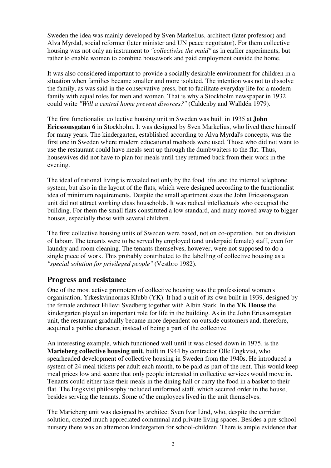Sweden the idea was mainly developed by Sven Markelius, architect (later professor) and Alva Myrdal, social reformer (later minister and UN peace negotiator). For them collective housing was not only an instrument to *"collectivise the maid"* as in earlier experiments, but rather to enable women to combine housework and paid employment outside the home.

It was also considered important to provide a socially desirable environment for children in a situation when families became smaller and more isolated. The intention was not to dissolve the family, as was said in the conservative press, but to facilitate everyday life for a modern family with equal roles for men and women. That is why a Stockholm newspaper in 1932 could write *"Will a central home prevent divorces?"* (Caldenby and Walldén 1979).

The first functionalist collective housing unit in Sweden was built in 1935 at **John Ericssonsgatan 6** in Stockholm. It was designed by Sven Markelius, who lived there himself for many years. The kindergarten, established according to Alva Myrdal's concepts, was the first one in Sweden where modern educational methods were used. Those who did not want to use the restaurant could have meals sent up through the dumbwaiters to the flat. Thus, housewives did not have to plan for meals until they returned back from their work in the evening.

The ideal of rational living is revealed not only by the food lifts and the internal telephone system, but also in the layout of the flats, which were designed according to the functionalist idea of minimum requirements. Despite the small apartment sizes the John Ericssonsgatan unit did not attract working class households. It was radical intellectuals who occupied the building. For them the small flats constituted a low standard, and many moved away to bigger houses, especially those with several children.

The first collective housing units of Sweden were based, not on co-operation, but on division of labour. The tenants were to be served by employed (and underpaid female) staff, even for laundry and room cleaning. The tenants themselves, however, were not supposed to do a single piece of work. This probably contributed to the labelling of collective housing as a *"special solution for privileged people"* (Vestbro 1982).

## **Progress and resistance**

One of the most active promoters of collective housing was the professional women's organisation, Yrkeskvinnornas Klubb (YK). It had a unit of its own built in 1939, designed by the female architect Hillevi Svedberg together with Albin Stark. In the **YK House** the kindergarten played an important role for life in the building. As in the John Ericssonsgatan unit, the restaurant gradually became more dependent on outside customers and, therefore, acquired a public character, instead of being a part of the collective.

An interesting example, which functioned well until it was closed down in 1975, is the **Marieberg collective housing unit**, built in 1944 by contractor Olle Engkvist, who spearheaded development of collective housing in Sweden from the 1940s. He introduced a system of 24 meal tickets per adult each month, to be paid as part of the rent. This would keep meal prices low and secure that only people interested in collective services would move in. Tenants could either take their meals in the dining hall or carry the food in a basket to their flat. The Engkvist philosophy included uniformed staff, which secured order in the house, besides serving the tenants. Some of the employees lived in the unit themselves.

The Marieberg unit was designed by architect Sven Ivar Lind, who, despite the corridor solution, created much appreciated communal and private living spaces. Besides a pre-school nursery there was an afternoon kindergarten for school-children. There is ample evidence that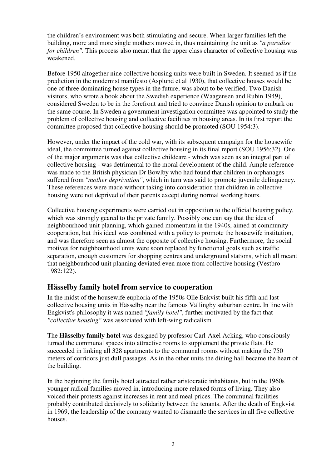the children's environment was both stimulating and secure. When larger families left the building, more and more single mothers moved in, thus maintaining the unit as *"a paradise for children"*. This process also meant that the upper class character of collective housing was weakened.

Before 1950 altogether nine collective housing units were built in Sweden. It seemed as if the prediction in the modernist manifesto (Asplund et al 1930), that collective houses would be one of three dominating house types in the future, was about to be verified. Two Danish visitors, who wrote a book about the Swedish experience (Waagensen and Rubin 1949), considered Sweden to be in the forefront and tried to convince Danish opinion to embark on the same course. In Sweden a government investigation committee was appointed to study the problem of collective housing and collective facilities in housing areas. In its first report the committee proposed that collective housing should be promoted (SOU 1954:3).

However, under the impact of the cold war, with its subsequent campaign for the housewife ideal, the committee turned against collective housing in its final report (SOU 1956:32). One of the major arguments was that collective childcare - which was seen as an integral part of collective housing - was detrimental to the moral development of the child. Ample reference was made to the British physician Dr Bowlby who had found that children in orphanages suffered from *"mother deprivation"*, which in turn was said to promote juvenile delinquency. These references were made without taking into consideration that children in collective housing were not deprived of their parents except during normal working hours.

Collective housing experiments were carried out in opposition to the official housing policy, which was strongly geared to the private family. Possibly one can say that the idea of neighbourhood unit planning, which gained momentum in the 1940s, aimed at community cooperation, but this ideal was combined with a policy to promote the housewife institution, and was therefore seen as almost the opposite of collective housing. Furthermore, the social motives for neighbourhood units were soon replaced by functional goals such as traffic separation, enough customers for shopping centres and underground stations, which all meant that neighbourhood unit planning deviated even more from collective housing (Vestbro 1982:122).

## **Hässelby family hotel from service to cooperation**

In the midst of the housewife euphoria of the 1950s Olle Enkvist built his fifth and last collective housing units in Hässelby near the famous Vällingby suburban centre. In line with Engkvist's philosophy it was named *"family hotel"*, further motivated by the fact that *"collective housing"* was associated with left-wing radicalism.

The **Hässelby family hotel** was designed by professor Carl-Axel Acking, who consciously turned the communal spaces into attractive rooms to supplement the private flats. He succeeded in linking all 328 apartments to the communal rooms without making the 750 meters of corridors just dull passages. As in the other units the dining hall became the heart of the building.

In the beginning the family hotel attracted rather aristocratic inhabitants, but in the 1960s younger radical families moved in, introducing more relaxed forms of living. They also voiced their protests against increases in rent and meal prices. The communal facilities probably contributed decisively to solidarity between the tenants. After the death of Engkvist in 1969, the leadership of the company wanted to dismantle the services in all five collective houses.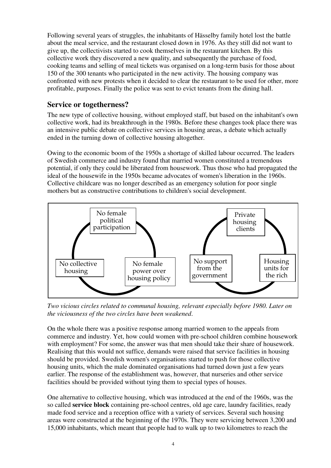Following several years of struggles, the inhabitants of Hässelby family hotel lost the battle about the meal service, and the restaurant closed down in 1976. As they still did not want to give up, the collectivists started to cook themselves in the restaurant kitchen. By this collective work they discovered a new quality, and subsequently the purchase of food, cooking teams and selling of meal tickets was organised on a long-term basis for those about 150 of the 300 tenants who participated in the new activity. The housing company was confronted with new protests when it decided to clear the restaurant to be used for other, more profitable, purposes. Finally the police was sent to evict tenants from the dining hall.

## **Service or togetherness?**

The new type of collective housing, without employed staff, but based on the inhabitant's own collective work, had its breakthrough in the 1980s. Before these changes took place there was an intensive public debate on collective services in housing areas, a debate which actually ended in the turning down of collective housing altogether.

Owing to the economic boom of the 1950s a shortage of skilled labour occurred. The leaders of Swedish commerce and industry found that married women constituted a tremendous potential, if only they could be liberated from housework. Thus those who had propagated the ideal of the housewife in the 1950s became advocates of women's liberation in the 1960s. Collective childcare was no longer described as an emergency solution for poor single mothers but as constructive contributions to children's social development.



*Two vicious circles related to communal housing, relevant especially before 1980. Later on the viciousness of the two circles have been weakened*.

On the whole there was a positive response among married women to the appeals from commerce and industry. Yet, how could women with pre-school children combine housework with employment? For some, the answer was that men should take their share of housework. Realising that this would not suffice, demands were raised that service facilities in housing should be provided. Swedish women's organisations started to push for those collective housing units, which the male dominated organisations had turned down just a few years earlier. The response of the establishment was, however, that nurseries and other service facilities should be provided without tying them to special types of houses.

One alternative to collective housing, which was introduced at the end of the 1960s, was the so called **service block** containing pre-school centres, old age care, laundry facilities, ready made food service and a reception office with a variety of services. Several such housing areas were constructed at the beginning of the 1970s. They were servicing between 3,200 and 15,000 inhabitants, which meant that people had to walk up to two kilometres to reach the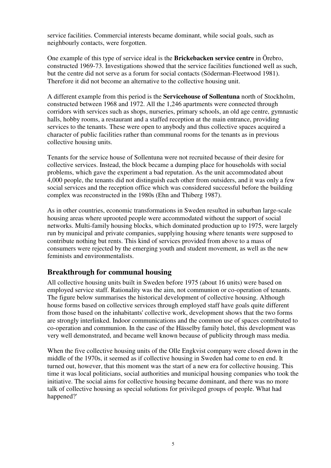service facilities. Commercial interests became dominant, while social goals, such as neighbourly contacts, were forgotten.

One example of this type of service ideal is the **Brickebacken service centre** in Örebro, constructed 1969-73. Investigations showed that the service facilities functioned well as such, but the centre did not serve as a forum for social contacts (Söderman-Fleetwood 1981). Therefore it did not become an alternative to the collective housing unit.

A different example from this period is the **Servicehouse of Sollentuna** north of Stockholm, constructed between 1968 and 1972. All the 1,246 apartments were connected through corridors with services such as shops, nurseries, primary schools, an old age centre, gymnastic halls, hobby rooms, a restaurant and a staffed reception at the main entrance, providing services to the tenants. These were open to anybody and thus collective spaces acquired a character of public facilities rather than communal rooms for the tenants as in previous collective housing units.

Tenants for the service house of Sollentuna were not recruited because of their desire for collective services. Instead, the block became a dumping place for households with social problems, which gave the experiment a bad reputation. As the unit accommodated about 4,000 people, the tenants did not distinguish each other from outsiders, and it was only a few social services and the reception office which was considered successful before the building complex was reconstructed in the 1980s (Ehn and Thiberg 1987).

As in other countries, economic transformations in Sweden resulted in suburban large-scale housing areas where uprooted people were accommodated without the support of social networks. Multi-family housing blocks, which dominated production up to 1975, were largely run by municipal and private companies, supplying housing where tenants were supposed to contribute nothing but rents. This kind of services provided from above to a mass of consumers were rejected by the emerging youth and student movement, as well as the new feminists and environmentalists.

## **Breakthrough for communal housing**

All collective housing units built in Sweden before 1975 (about 16 units) were based on employed service staff. Rationality was the aim, not communion or co-operation of tenants. The figure below summarises the historical development of collective housing. Although house forms based on collective services through employed staff have goals quite different from those based on the inhabitants' collective work, development shows that the two forms are strongly interlinked. Indoor communications and the common use of spaces contributed to co-operation and communion. In the case of the Hässelby family hotel, this development was very well demonstrated, and became well known because of publicity through mass media.

When the five collective housing units of the Olle Engkvist company were closed down in the middle of the 1970s, it seemed as if collective housing in Sweden had come to en end. It turned out, however, that this moment was the start of a new era for collective housing. This time it was local politicians, social authorities and municipal housing companies who took the initiative. The social aims for collective housing became dominant, and there was no more talk of collective housing as special solutions for privileged groups of people. What had happened?'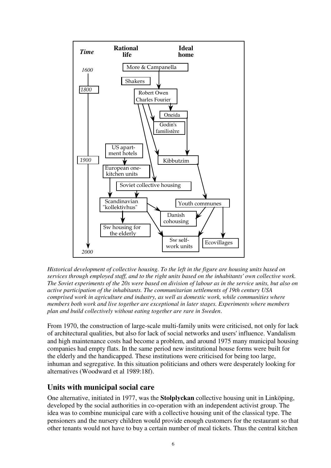

*Historical development of collective housing. To the left in the figure are housing units based on services through employed staff, and to the right units based on the inhabitants' own collective work. The Soviet experiments of the 20s were based on division of labour as in the service units, but also on active participation of the inhabitants. The communitarian settlements of 19th century USA comprised work in agriculture and industry, as well as domestic work, while communities where members both work and live together are exceptional in later stages. Experiments where members plan and build collectively without eating together are rare in Sweden*.

From 1970, the construction of large-scale multi-family units were criticised, not only for lack of architectural qualities, but also for lack of social networks and users' influence. Vandalism and high maintenance costs had become a problem, and around 1975 many municipal housing companies had empty flats. In the same period new institutional house forms were built for the elderly and the handicapped. These institutions were criticised for being too large, inhuman and segregative. In this situation politicians and others were desperately looking for alternatives (Woodward et al 1989:18f).

## **Units with municipal social care**

One alternative, initiated in 1977, was the **Stolplyckan** collective housing unit in Linköping, developed by the social authorities in co-operation with an independent activist group. The idea was to combine municipal care with a collective housing unit of the classical type. The pensioners and the nursery children would provide enough customers for the restaurant so that other tenants would not have to buy a certain number of meal tickets. Thus the central kitchen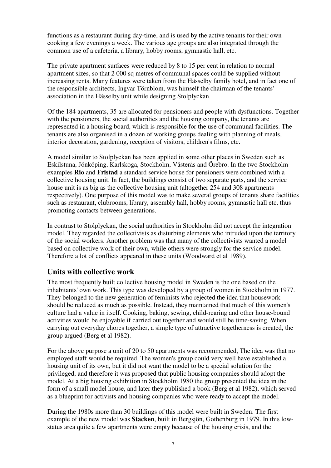functions as a restaurant during day-time, and is used by the active tenants for their own cooking a few evenings a week. The various age groups are also integrated through the common use of a cafeteria, a library, hobby rooms, gymnastic hall, etc.

The private apartment surfaces were reduced by 8 to 15 per cent in relation to normal apartment sizes, so that 2 000 sq metres of communal spaces could be supplied without increasing rents. Many features were taken from the Hässelby family hotel, and in fact one of the responsible architects, Ingvar Törnblom, was himself the chairman of the tenants' association in the Hässelby unit while designing Stolplyckan.

Of the 184 apartments, 35 are allocated for pensioners and people with dysfunctions. Together with the pensioners, the social authorities and the housing company, the tenants are represented in a housing board, which is responsible for the use of communal facilities. The tenants are also organised in a dozen of working groups dealing with planning of meals, interior decoration, gardening, reception of visitors, children's films, etc.

A model similar to Stolplyckan has been applied in some other places in Sweden such as Eskilstuna, Jönköping, Karlskoga, Stockholm, Västerås and Örebro. In the two Stockholm examples **Rio** and **Fristad** a standard service house for pensioners were combined with a collective housing unit. In fact, the buildings consist of two separate parts, and the service house unit is as big as the collective housing unit (altogether 254 and 308 apartments respectively). One purpose of this model was to make several groups of tenants share facilities such as restaurant, clubrooms, library, assembly hall, hobby rooms, gymnastic hall etc, thus promoting contacts between generations.

In contrast to Stolplyckan, the social authorities in Stockholm did not accept the integration model. They regarded the collectivists as disturbing elements who intruded upon the territory of the social workers. Another problem was that many of the collectivists wanted a model based on collective work of their own, while others were strongly for the service model. Therefore a lot of conflicts appeared in these units (Woodward et al 1989).

#### **Units with collective work**

The most frequently built collective housing model in Sweden is the one based on the inhabitants' own work. This type was developed by a group of women in Stockholm in 1977. They belonged to the new generation of feminists who rejected the idea that housework should be reduced as much as possible. Instead, they maintained that much of this women's culture had a value in itself. Cooking, baking, sewing, child-rearing and other house-bound activities would be enjoyable if carried out together and would still be time-saving. When carrying out everyday chores together, a simple type of attractive togetherness is created, the group argued (Berg et al 1982).

For the above purpose a unit of 20 to 50 apartments was recommended, The idea was that no employed staff would be required. The women's group could very well have established a housing unit of its own, but it did not want the model to be a special solution for the privileged, and therefore it was proposed that public housing companies should adopt the model. At a big housing exhibition in Stockholm 1980 the group presented the idea in the form of a small model house, and later they published a book (Berg et al 1982), which served as a blueprint for activists and housing companies who were ready to accept the model.

During the 1980s more than 30 buildings of this model were built in Sweden. The first example of the new model was **Stacken**, built in Bergsjön, Gothenburg in 1979. In this lowstatus area quite a few apartments were empty because of the housing crisis, and the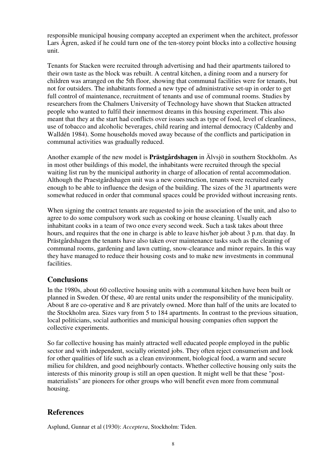responsible municipal housing company accepted an experiment when the architect, professor Lars Ågren, asked if he could turn one of the ten-storey point blocks into a collective housing unit.

Tenants for Stacken were recruited through advertising and had their apartments tailored to their own taste as the block was rebuilt. A central kitchen, a dining room and a nursery for children was arranged on the 5th floor, showing that communal facilities were for tenants, but not for outsiders. The inhabitants formed a new type of administrative set-up in order to get full control of maintenance, recruitment of tenants and use of communal rooms. Studies by researchers from the Chalmers University of Technology have shown that Stacken attracted people who wanted to fulfil their innermost dreams in this housing experiment. This also meant that they at the start had conflicts over issues such as type of food, level of cleanliness, use of tobacco and alcoholic beverages, child rearing and internal democracy (Caldenby and Walldén 1984). Some households moved away because of the conflicts and participation in communal activities was gradually reduced.

Another example of the new model is **Prästgårdshagen** in Älvsjö in southern Stockholm. As in most other buildings of this model, the inhabitants were recruited through the special waiting list run by the municipal authority in charge of allocation of rental accommodation. Although the Praestgårdshagen unit was a new construction, tenants were recruited early enough to be able to influence the design of the building. The sizes of the 31 apartments were somewhat reduced in order that communal spaces could be provided without increasing rents.

When signing the contract tenants are requested to join the association of the unit, and also to agree to do some compulsory work such as cooking or house cleaning. Usually each inhabitant cooks in a team of two once every second week. Such a task takes about three hours, and requires that the one in charge is able to leave his/her job about 3 p.m. that day. In Prästgårdshagen the tenants have also taken over maintenance tasks such as the cleaning of communal rooms, gardening and lawn cutting, snow-clearance and minor repairs. In this way they have managed to reduce their housing costs and to make new investments in communal facilities.

#### **Conclusions**

In the 1980s, about 60 collective housing units with a communal kitchen have been built or planned in Sweden. Of these, 40 are rental units under the responsibility of the municipality. About 8 are co-operative and 8 are privately owned. More than half of the units are located to the Stockholm area. Sizes vary from 5 to 184 apartments. In contrast to the previous situation, local politicians, social authorities and municipal housing companies often support the collective experiments.

So far collective housing has mainly attracted well educated people employed in the public sector and with independent, socially oriented jobs. They often reject consumerism and look for other qualities of life such as a clean environment, biological food, a warm and secure milieu for children, and good neighbourly contacts. Whether collective housing only suits the interests of this minority group is still an open question. It might well be that these "postmaterialists" are pioneers for other groups who will benefit even more from communal housing.

## **References**

Asplund, Gunnar et al (1930): *Acceptera*, Stockholm: Tiden.